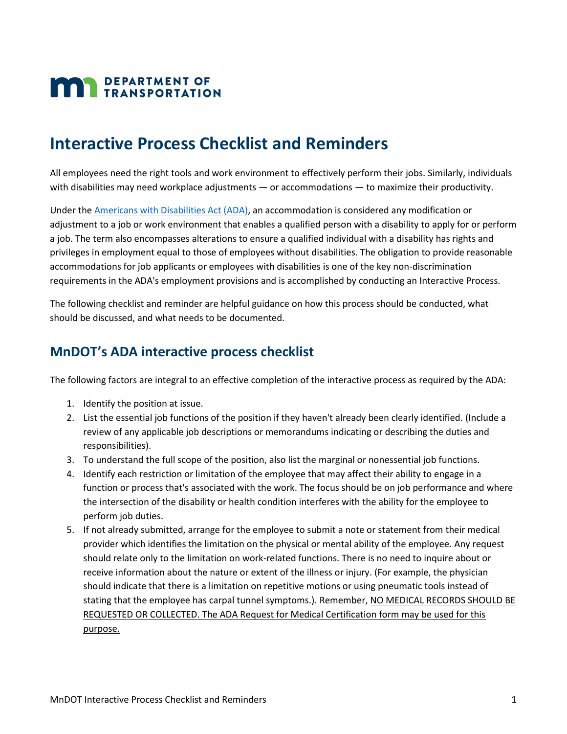## **MAN** DEPARTMENT OF

## **Interactive Process Checklist and Reminders**

 All employees need the right tools and work environment to effectively perform their jobs. Similarly, individuals with disabilities may need workplace adjustments — or accommodations — to maximize their productivity.

 adjustment to a job or work environment that enables a qualified person with a disability to apply for or perform privileges in employment equal to those of employees without disabilities. The obligation to provide reasonable accommodations for job applicants or employees with disabilities is one of the key non-discrimination requirements in the ADA's employment provisions and is accomplished by conducting an Interactive Process. Under the [Americans with Disabilities Act \(ADA\),](https://www.dol.gov/general/topic/disability/ada) an accommodation is considered any modification or a job. The term also encompasses alterations to ensure a qualified individual with a disability has rights and

The following checklist and reminder are helpful guidance on how this process should be conducted, what should be discussed, and what needs to be documented.

## **MnDOT's ADA interactive process checklist**

The following factors are integral to an effective completion of the interactive process as required by the ADA:

- 1. Identify the position at issue.
- 2. List the essential job functions of the position if they haven't already been clearly identified. (Include a review of any applicable job descriptions or memorandums indicating or describing the duties and responsibilities).
- 3. To understand the full scope of the position, also list the marginal or nonessential job functions.
- 4. Identify each restriction or limitation of the employee that may affect their ability to engage in a function or process that's associated with the work. The focus should be on job performance and where the intersection of the disability or health condition interferes with the ability for the employee to perform job duties.
- 5. If not already submitted, arrange for the employee to submit a note or statement from their medical provider which identifies the limitation on the physical or mental ability of the employee. Any request should relate only to the limitation on work-related functions. There is no need to inquire about or receive information about the nature or extent of the illness or injury. (For example, the physician should indicate that there is a limitation on repetitive motions or using pneumatic tools instead of stating that the employee has carpal tunnel symptoms.). Remember, NO MEDICAL RECORDS SHOULD BE REQUESTED OR COLLECTED. The ADA Request for Medical Certification form may be used for this purpose.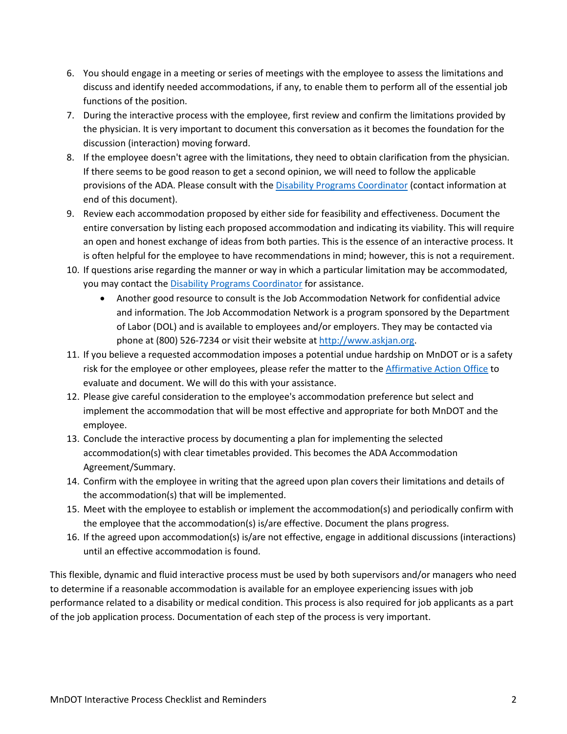- 6. You should engage in a meeting or series of meetings with the employee to assess the limitations and discuss and identify needed accommodations, if any, to enable them to perform all of the essential job functions of the position.
- 7. During the interactive process with the employee, first review and confirm the limitations provided by the physician. It is very important to document this conversation as it becomes the foundation for the discussion (interaction) moving forward.
- 8. If the employee doesn't agree with the limitations, they need to obtain clarification from the physician. If there seems to be good reason to get a second opinion, we will need to follow the applicable provisions of the ADA. Please consult with the [Disability Programs Coordinator](mailto:ken.rodgers@state.mn.us?subject=Interactive%20Process%20Checklist%20and%20Reminders%20) (contact information at end of this document).
- 9. Review each accommodation proposed by either side for feasibility and effectiveness. Document the entire conversation by listing each proposed accommodation and indicating its viability. This will require an open and honest exchange of ideas from both parties. This is the essence of an interactive process. It is often helpful for the employee to have recommendations in mind; however, this is not a requirement.
- 10. If questions arise regarding the manner or way in which a particular limitation may be accommodated, you may contact the **Disability Programs Coordinator** for assistance.
	- phone at (800) 526-7234 or visit their website a[t http://www.askjan.org.](http://www.askjan.org/) • Another good resource to consult is the Job Accommodation Network for confidential advice and information. The Job Accommodation Network is a program sponsored by the Department of Labor (DOL) and is available to employees and/or employers. They may be contacted via
- 11. If you believe a requested accommodation imposes a potential undue hardship on MnDOT or is a safety risk for the employee or other employees, please refer the matter to th[e Affirmative Action Office](http://ihub.dot.state.mn.us/equity-diversity/contacts.html) to evaluate and document. We will do this with your assistance.
- 12. Please give careful consideration to the employee's accommodation preference but select and implement the accommodation that will be most effective and appropriate for both MnDOT and the employee.
- 13. Conclude the interactive process by documenting a plan for implementing the selected accommodation(s) with clear timetables provided. This becomes the ADA Accommodation Agreement/Summary.
- 14. Confirm with the employee in writing that the agreed upon plan covers their limitations and details of the accommodation(s) that will be implemented.
- 15. Meet with the employee to establish or implement the accommodation(s) and periodically confirm with the employee that the accommodation(s) is/are effective. Document the plans progress.
- 16. If the agreed upon accommodation(s) is/are not effective, engage in additional discussions (interactions) until an effective accommodation is found.

 This flexible, dynamic and fluid interactive process must be used by both supervisors and/or managers who need to determine if a reasonable accommodation is available for an employee experiencing issues with job performance related to a disability or medical condition. This process is also required for job applicants as a part of the job application process. Documentation of each step of the process is very important.